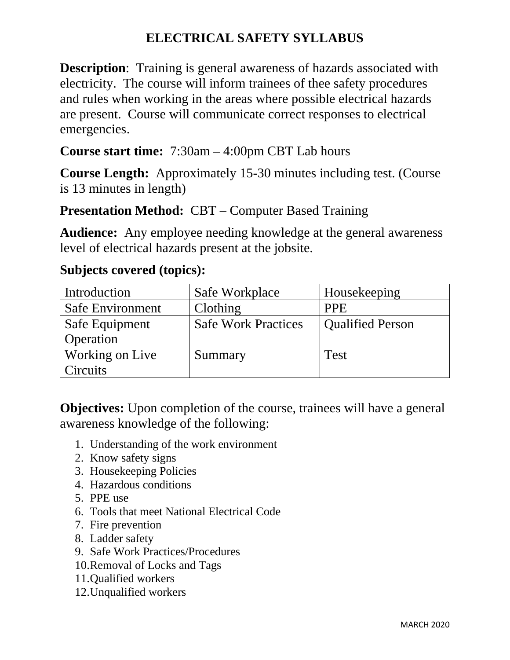## **ELECTRICAL SAFETY SYLLABUS**

**Description:** Training is general awareness of hazards associated with electricity. The course will inform trainees of thee safety procedures and rules when working in the areas where possible electrical hazards are present. Course will communicate correct responses to electrical emergencies.

**Course start time:** 7:30am – 4:00pm CBT Lab hours

**Course Length:** Approximately 15-30 minutes including test. (Course is 13 minutes in length)

## **Presentation Method: CBT – Computer Based Training**

**Audience:** Any employee needing knowledge at the general awareness level of electrical hazards present at the jobsite.

| Introduction     | Safe Workplace             | Housekeeping            |
|------------------|----------------------------|-------------------------|
| Safe Environment | Clothing                   | <b>PPE</b>              |
| Safe Equipment   | <b>Safe Work Practices</b> | <b>Qualified Person</b> |
| Operation        |                            |                         |
| Working on Live  | Summary                    | <b>Test</b>             |
| Circuits         |                            |                         |

## **Subjects covered (topics):**

**Objectives:** Upon completion of the course, trainees will have a general awareness knowledge of the following:

- 1. Understanding of the work environment
- 2. Know safety signs
- 3. Housekeeping Policies
- 4. Hazardous conditions
- 5. PPE use
- 6. Tools that meet National Electrical Code
- 7. Fire prevention
- 8. Ladder safety
- 9. Safe Work Practices/Procedures
- 10.Removal of Locks and Tags
- 11.Qualified workers
- 12.Unqualified workers